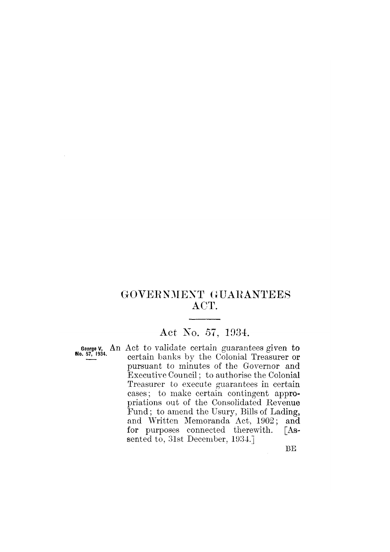# GOVERNMENT GUARANTEES ACT.

# Act No. 57, 1934.

George V, An Act to validate certain guarantees given to certain banks by the Colonial Treasurer or pursuant to minutes of the Governor and Executive Council; to authorise the Colonial Treasurer to execute guarantees in certain cases; to make certain contingent appropriations out of the Consolidated Revenue Fund; to amend the Usury, Bills of Lading, and Written Memoranda Act, 1902; and for purposes connected therewith.  $\lceil As$ sented to, 31st December, 1934.]

**BE**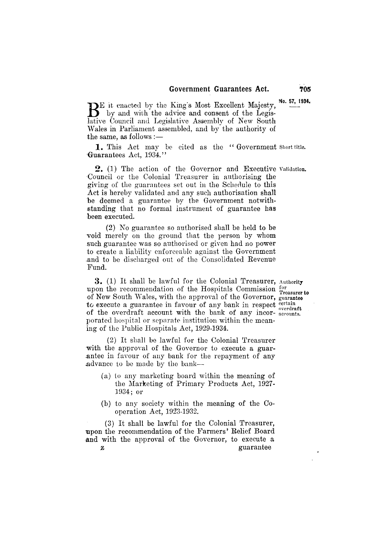No. 57, 1934. BE it enacted by the King's Most Excellent Majesty,<br>by and with the advice and consent of the Legislative Council and Legislative Assembly of New South Wales in Parliament assembled, and by the authority of the same, as follows :—

1. This Act may be cited as the "Government Short title. Guarantees Act, 1934."

2. (1) The action of the Governor and Executive Validation. Council or the Colonial Treasurer in authorising the giving of the guarantees set out in the Schedule to this Act is hereby validated and any such authorisation shall be deemed a guarantee by the Government notwithstanding that no formal instrument of guarantee has been executed.

(2) No guarantee so authorised shall be held to be void merely on the ground that the person by whom such guarantee was so authorised or given had no power to create a liability enforceable against the Government and to be discharged out of the Consolidated Revenue Fund.

3. (1) It shall be lawful for the Colonial Treasurer, Authority upon the recommendation of the Hospitals Commission for Treasurer to of New South Wales, with the approval of the Governor, guarantee to execute a guarantee in favour of any bank in respect certain of the overdraft account with the bank of any incorporated hospital or separate institution within the meaning of the Public Hospitals Act, 1929-1934.

(2) It shall be lawful for the Colonial Treasurer with the approval of the Governor to execute a guarantee in favour of any bank for the repayment of any advance to be made by the bank-

- (a) to any marketing board within the meaning of the Marketing of Primary Products Act, 1927- $1934:$  or
- (b) to any society within the meaning of the Cooperation Act, 1923-1932.

(3) It shall be lawful for the Colonial Treasurer, upon the recommendation of the Farmers' Relief Board and with the approval of the Governor, to execute a guarantee Z

705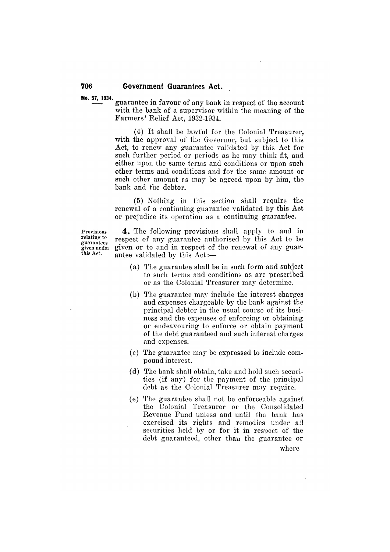No. 57, 1934.

706

guarantee in favour of any bank in respect of the account with the bank of a supervisor within the meaning of the Farmers' Relief Act, 1932-1934.

(4) It shall be lawful for the Colonial Treasurer, with the approval of the Governor, but subject to this Act, to renew any guarantee validated by this Act for such further period or periods as he may think fit, and either upon the same terms and conditions or upon such other terms and conditions and for the same amount or such other amount as may be agreed upon by him, the bank and the debtor.

(5) Nothing in this section shall require the renewal of a continuing guarantee validated by this Act or prejudice its operation as a continuing guarantee.

Provisions relating to guarantees given under this Act.

4. The following provisions shall apply to and in respect of any guarantee authorised by this Act to be given or to and in respect of the renewal of any guarantee validated by this Act:-

- (a) The guarantee shall be in such form and subject to such terms and conditions as are prescribed or as the Colonial Treasurer may determine.
- (b) The guarantee may include the interest charges and expenses chargeable by the bank against the principal debtor in the usual course of its business and the expenses of enforcing or obtaining or endeavouring to enforce or obtain payment of the debt guaranteed and such interest charges and expenses.
- (c) The guarantee may be expressed to include compound interest.
- (d) The bank shall obtain, take and hold such securities (if any) for the payment of the principal debt as the Colonial Treasurer may require.
- (e) The guarantee shall not be enforceable against the Colonial Treasurer or the Consolidated Revenue Fund unless and until the bank has exercised its rights and remedies under all securities held by or for it in respect of the debt guaranteed, other than the guarantee or where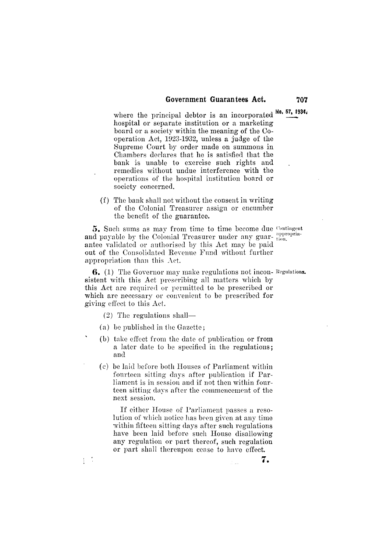where the principal debtor is an incorporated  $\frac{100}{100}$ ,  $\frac{57}{100}$ ,  $\frac{1934}{100}$ hospital or separate institution or a marketing board or a society within the meaning of the Cooperation Act, 1923-1932, unless a judge of the Supreme Court by order made on summons in Chambers declares that he is satisfied that the bank is unable to exercise such rights and remedies without undue interference with the operations of the hospital institution board or society concerned.

(f) The bank shall not without the consent in writing of the Colonial Treasurer assign or encumber the benefit of the guarantee.

5. Such sums as may from time to time become due Contingent and payable by the Colonial Treasurer under any guar-tion. antee validated or authorised by this Act may be paid out of the Consolidated Revenue Fund without further appropriation than this  $\Lambda$ ct.

6. (1) The Governor may make regulations not incon-Regulations. sistent with this Act prescribing all matters which by this Act are required or permitted to be prescribed or which are necessary or convenient to be prescribed for giving effect to this Act.

 $(2)$  The regulations shall—

÷

- (a) be published in the Gazette;
- (b) take effect from the date of publication or from a later date to be specified in the regulations; and
- (c) be laid before both Houses of Parliament within fourteen sitting days after publication if Parliament is in session and if not then within fourteen sitting days after the commencement of the next session.

If either House of Parliament passes a resolution of which notice has been given at any time within fifteen sitting days after such regulations have been laid before such House disallowing any regulation or part thereof, such regulation or part shall thereupon cease to have effect.

707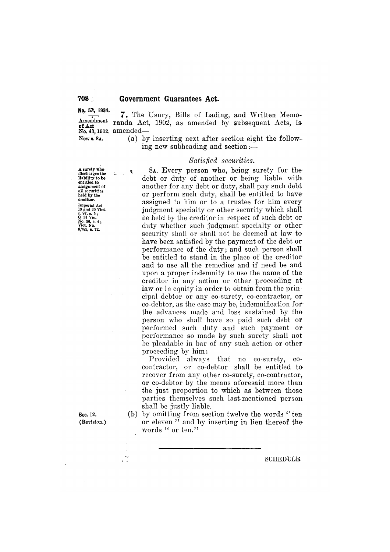No. 57, 1934. Amendment of Act<br>No. 43, 1902. amended—

New s. 8A.

(a) by inserting next after section eight the following new subheading and section :-

7. The Usury, Bills of Lading, and Written Memo-

randa Act, 1902, as amended by subsequent Acts, is

#### Satisfied securities.

A surety who<br>discharges the<br>liability to be manify to be<br>entitled to<br>assignment of<br>all securities held by the<br>creditor. treation,<br>
Imperial Act<br>
19 and 20 Vict.<br>
c. 97, s. 5;<br>
Q 31 Vic.<br>
No. 36, s. 4;<br>
Vict. No.<br>
8,788, s. 72.

¢

Sec. 12. (Revision.)

 $\mathcal{L}_2$ 

 $\bar{L}$  ,  $\bar{L}$ 

8A. Every person who, being surety for the debt or duty of another or being liable with another for any debt or duty, shall pay such debt or perform such duty, shall be entitled to have assigned to him or to a trustee for him every judgment specialty or other security which shall be held by the creditor in respect of such debt or duty whether such judgment specialty or other security shall or shall not be deemed at law to have been satisfied by the payment of the debt or performance of the duty; and such person shall be entitled to stand in the place of the creditor and to use all the remedies and if need be and upon a proper indemnity to use the name of the creditor in any action or other proceeding at law or in equity in order to obtain from the prineipal debtor or any co-surety, co-contractor, or co-debtor, as the case may be, indemnification for the advances made and loss sustained by the person who shall have so paid such debt or performed such duty and such payment or performance so made by such surety shall not be pleadable in bar of any such action or other proceeding by him:

Provided always that no co-surety,  $co$ contractor, or co-debtor shall be entitled to recover from any other co-surety, co-contractor, or co-debtor by the means aforesaid more than the just proportion to which as between those parties themselves such last-mentioned person shall be justly liable.

(b) by omitting from section twelve the words "ten or eleven" and by inserting in lieu thereof the words " or ten."

**SCHEDULE**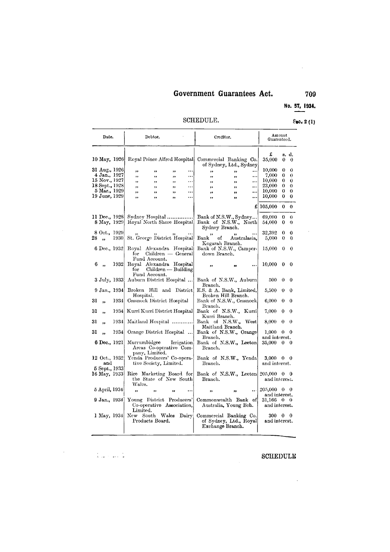No. 57, 1934.

 $\sim 10^{-10}$ 

## SCHEDULE.

# $\epsilon_{00}$ , 2(1)

 $\sim 10^7$ 

709

| Date. |                                | Debtor. |                                           |                                                                    | Creditor. |                       |                                                                      | Amount<br>Guaranteed. |              |                                            |          |                   |
|-------|--------------------------------|---------|-------------------------------------------|--------------------------------------------------------------------|-----------|-----------------------|----------------------------------------------------------------------|-----------------------|--------------|--------------------------------------------|----------|-------------------|
|       |                                |         | 10 May, 1926 Royal Prince Alfred Hospital |                                                                    |           |                       | Commercial Banking Co.                                               |                       |              | £<br>35,000                                | 0        | s. d.<br>$\Omega$ |
|       |                                |         |                                           |                                                                    |           |                       | of Sydney, Ltd., Sydney                                              |                       |              |                                            |          |                   |
|       | 31 Aug., 1926                  |         | ,,                                        | $\pmb{\mathcal{H}}$                                                | ,,        | $\cdots$              | ,,                                                                   | ,,                    |              | 10,000                                     | 0        | 0                 |
|       | 4 Jan., 1927                   |         | ,,                                        | ,,                                                                 | ,,        |                       | ,,                                                                   | ,,                    |              | 7,000                                      | 0        | 0                 |
|       | 15 Nov., 1927                  |         | ,,                                        | ,,                                                                 | ,,        | $\cdots$              | ,,                                                                   | $, \,$                |              | 10,000                                     | 0<br>0   | 0<br>$\Omega$     |
|       | 18 Sept., 1928<br>5 Mar., 1929 |         | ,,                                        | , ,                                                                | ,,        |                       | ,                                                                    | ,                     |              | 23,000<br>10,000                           | 0        | 0                 |
|       | 19 June, 1929                  |         | ,,                                        | $\bullet \bullet$                                                  | ,         | $\ddotsc$<br>$\cdots$ | $\pmb{\cdot}$                                                        | $\bullet$             | <br>         | 10,000                                     | 0        | 0                 |
|       |                                |         | ,,                                        | $^{\bullet}$                                                       | ,,        |                       | ,,                                                                   | ,,                    |              |                                            |          |                   |
|       |                                |         |                                           |                                                                    |           |                       |                                                                      |                       |              | £ 105,000                                  | 0        | 0                 |
|       | 11 Dec., 1928                  |         |                                           | Sydney Hospital                                                    |           |                       | Bank of N.S.W., Sydney                                               |                       |              | 69,000                                     | $\Omega$ | 0                 |
|       | 8 May, 1929                    |         | Royal North Shore Hospital                |                                                                    |           |                       | Bank of N.S.W., North<br>Sydney Branch.                              |                       |              | 54,000                                     | 0        | 0                 |
|       | 8 Oct., 1929                   |         |                                           |                                                                    |           |                       |                                                                      | $^{\bullet}$          |              | 32,392                                     | 0        | 0                 |
| 28 -  | $\ddot{\phantom{0}}$           | 1930    |                                           | St. George District Hospital                                       |           |                       | $\operatorname{Bank}$<br>of<br>Kogarah Branch.                       |                       | Australasia, | 5,000                                      | 0        | 0                 |
|       | 6 Dec., 1932                   |         | for                                       | Royal Alexandra Hospital<br>Children — General                     |           |                       | Bank of N.S.W., Camper-<br>down Branch.                              |                       |              | 15,000                                     | 0        | 0                 |
| 6     |                                | 1932    | $_{\rm for}$                              | Fund Account.<br>Royal Alexandra Hospital<br>$Children$ — Building |           |                       | ,,                                                                   |                       | $\ddotsc$    | 10,000                                     | 0        | 0                 |
|       | 3 July, 1933]                  |         |                                           | Fund Account.<br>Auburn District Hospital                          |           |                       | Bank of N.S.W., Auburn<br>Branch.                                    |                       |              | 500                                        | 0        | 0                 |
|       | 9 Jan., 1934                   |         | Hospital.                                 | Broken Hill and District                                           |           |                       | E.S. & A. Bank, Limited,<br>Broken Hill Branch.                      |                       |              | 5.500                                      | 0        | 0                 |
| 31    | ,,                             | 1934    |                                           | Cessnock District Hospital                                         |           |                       | Bank of N.S.W., Cessnock<br>Branch.                                  |                       |              | 6,000                                      | 0        | $\theta$          |
| 31    | ,,                             | 1934    |                                           | Kurri Kurri District Hospital                                      |           |                       | Bank of N.S.W., Kurri<br>Kurri Branch.                               |                       |              | 7,000                                      | 0        | 0                 |
| 31    | ,,                             | 1934    |                                           | Maitland Hospital                                                  |           |                       | Bank of N.S.W., West<br>Maitland Branch.                             |                       |              | 8,000                                      | 0        | 0                 |
| 31    |                                | 1934    |                                           | Orange District Hospital                                           |           |                       | Bank of N.S.W., Orange<br>Branch.                                    |                       |              | 1,000<br>and interest.                     | 0        | 0                 |
|       | 6 Dec., 1921                   |         | Murrumbidgee                              | Areas Co-operative Com-<br>pany, Limited.                          |           | Irrigation            | Bank of N.S.W., Leeton<br>Branch.                                    |                       |              | 35,000                                     | 0        | 0                 |
|       | 12 Oct., 1932<br>and           |         |                                           | Yenda Producers' Co-opera-<br>tive Society, Limited.               |           |                       | Bank of N.S.W., Yenda<br>Branch.                                     |                       |              | 3,000<br>and interest.                     | 0        | - 0               |
|       | 5 Sept., 1933                  |         |                                           |                                                                    |           |                       |                                                                      |                       |              |                                            |          |                   |
|       | 16 May, 1933                   |         | Wales.                                    | Rice Marketing Board for<br>the State of New South                 |           |                       | Bank of N.S.W., Leeton<br>Branch.                                    |                       |              | $205,000 \quad 0 \quad 9$<br>and interest. |          |                   |
|       | 5 April, 1934                  |         | ,,                                        |                                                                    |           |                       | ,,                                                                   |                       | ٠.           | $205,000 \quad 0 \quad 0$<br>and interest. |          |                   |
|       | 9 Jan., 1934]                  |         | Limited.                                  | Young District Producers'<br>Co-operative Association,             |           |                       | Commonwealth Bank of<br>Australia, Young Beh.                        |                       |              | 31,166 0<br>and interest.                  |          | 0                 |
|       | 1 May, 1934                    |         | ${\rm New}$                               | South Wales<br>Products Board.                                     |           | Dairy                 | Commercial Banking Co.<br>of Sydney, Ltd., Royal<br>Exchange Branch. |                       |              | 300 -<br>and interest.                     | 0        | 0                 |

ال<br>التي تعلق الأستاذة المراد

 $\sim 10^7$ 

# **SCHEDULE**

 $\sim 10^{11}$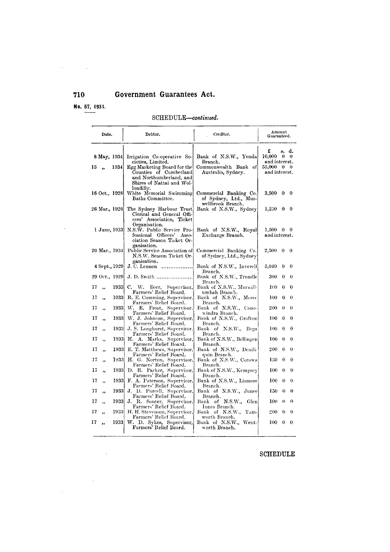No. 57, 1934.

 $\mathcal{L}^{\text{max}}_{\text{max}}$  . The  $\mathcal{L}^{\text{max}}_{\text{max}}$ 

 $\mathcal{A}^{\mathcal{A}}$  and  $\mathcal{A}^{\mathcal{A}}$  and  $\mathcal{A}^{\mathcal{A}}$ 

## $\operatorname{SCHEDULE}-continued.$

|    | Date.         |               | Debtor.                                                                                                                    | Creditor.                                                            | Amount<br>Guaranteed.                    |                     |                       |
|----|---------------|---------------|----------------------------------------------------------------------------------------------------------------------------|----------------------------------------------------------------------|------------------------------------------|---------------------|-----------------------|
|    | 8 May, 1934   |               | Irrigation Co-operative So-<br>cieties, Limited.                                                                           | Bank of N.S.W., Yenda<br>Branch.                                     | £<br>10,000<br>and interest.             | s. d.<br>$\theta$ 0 |                       |
| 15 | ,,            | 1934          | Egg Marketing Board for the<br>Counties of Cumberland<br>and Northumberland, and<br>Shires of Nattai and Wol-<br>londilly. | Commonwealth Bank of<br>Australia, Sydney.                           | 55,000 0 0<br>and interest.              |                     |                       |
|    | 16 Oct., 1928 |               | White Memorial Swimming<br>Baths Committee.                                                                                | Commercial Banking Co.<br>of Sydney, Ltd., Mus-<br>wellbrook Branch. | $3,500 \quad 0 \quad 0$                  |                     |                       |
|    | 26 Mar., 1926 |               | The Sydney Harbour Trust<br>Clerical and General Offi-<br>cers' Association, Ticket<br>Organisation.                       | Bank of N.S.W., Sydney                                               | $1,250 \quad 0 \quad 0$                  |                     |                       |
|    |               | 1 June, 1933  | N.S.W. Public Service Pro-<br>fessional Officers' Asso-<br>ciation Season Ticket Or-<br>ganisation.                        | Bank of N.S.W., Royal<br>Exchange Branch.                            | $1,500 \quad 0 \quad 0$<br>and interest. |                     |                       |
|    | 20 Mar., 1934 |               | Public Service Association of<br>N.S.W. Season Ticket Or-<br>ganisation.                                                   | Commercial Banking Co.<br>of Sydney, Ltd., Sydney                    | $2,500 \quad 0$                          |                     | $\mathbf{0}$          |
|    | 4 Sept., 1929 | 29 Oct., 1929 | J. C. Lennon<br>.<br>J. D. Smith                                                                                           | Bank of N.S.W., Inverell<br>Branch.<br>Bank of N.S.W., Trundle       | 5,040<br>300                             | 0<br>0              | $\boldsymbol{0}$<br>0 |
| 17 | ,,            | 19331         | C. W. Beer, Supervisor,                                                                                                    | Branch.<br>Bank of N.S.W., Murwill-                                  | 100                                      | $\bf{0}$            | 0                     |
| 17 | ,,            | 1933          | Farmers' Relief Board.<br>R. E. Cumming, Supervisor,                                                                       | umbah Branch.<br>Bank of N.S.W., Moree                               | 100                                      | 0                   | 0                     |
| 17 | ,,            | 1933          | Farmers' Relief Board.<br>W. E. Frost, Supervisor,                                                                         | Branch.<br>Bank of N.S.W., Cano-                                     | 200                                      | 0                   | 0                     |
| 17 | ,,            |               | Farmers' Relief Board.<br>1933 W. J. Johnson, Supervisor,                                                                  | windra Branch.<br>Bank of N.S.W., Grafton!                           | 100                                      | $\Omega$            | 0                     |
| 17 | ,,            | 1933          | Farmers' Relief Board.<br>J. S. Longhurst, Supervisor,                                                                     | Branch.<br>Bank of N.S.W., Bega<br>Branch.                           | 100                                      | 0                   | 0                     |
| 17 | ,,            | 1933          | Farmers' Relief Board.<br>H. A. Marks, Supervisor,<br>Farmers' Relief Board.                                               | Bank of N.S.W., Bellingen<br>Branch.                                 | 100                                      | 0                   | 0                     |
| 17 | ,,            | 1933          | E. T. Matthews, Supervisor,<br>Farmers' Relief Board.                                                                      | Bank of N.S.W., Denili-<br>quin Branch.                              | 200                                      | $\theta$            | $\theta$              |
| 17 | ,,            |               | 1933 H. G. Norton, Supervisor,<br>Farmers' Relief Board.                                                                   | Bank of N.S.W., Corowa<br>Branch.                                    | 150                                      | $\bf{0}$            | 0                     |
| 17 | ,,            | 1933]         | D. R. Parker, Supervisor,<br>Farmers' Relief Board.                                                                        | Bank of N.S.W., Kempsey<br>Branch,                                   | 100                                      | $\bf{0}$            | 0                     |
| 17 | ,,            | 1933          | F. A. Paterson, Supervisor,<br>Farmers' Relief Board.                                                                      | Bank of N.S.W., Lismore<br>Branch.                                   | 100                                      | 0                   | 0                     |
| 17 | ,,            | 1933          | J. D. Purcell, Supervisor,<br>Farmers' Relief Board.                                                                       | Bank of N.S.W., Junee<br>Branch.                                     | 150                                      | $\mathbf 0$         | 0                     |
| 17 | ,             | 19331         | J. R. Souter, Supervisor,<br>Farmers' Relief Board.                                                                        | Bank of N.S.W., Glen<br>Innes Branch.                                | 100                                      | $\theta$            | $\Omega$              |
| 17 |               | 1933]         | H. H. Stevenson, Supervisor,<br>Farmers' Relief Board.                                                                     | Bank of N.S.W., Tam-<br>worth Branch.                                | 200                                      | $\bf{0}$            | 0                     |
| 17 | ,,            | 19331         | W. D. Sykes, Supervisor,<br>Farmers' Relief Board.                                                                         | Bank of N.S.W., Went-<br>worth Branch.                               | 100                                      | $\bf{0}$            | 0                     |
|    |               |               |                                                                                                                            |                                                                      |                                          |                     |                       |

#### **SCHEDULE**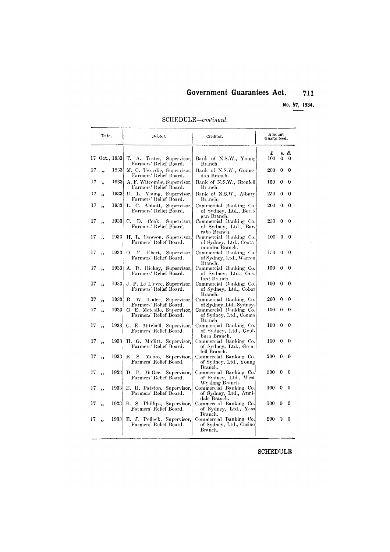No. 57, 1934.

 $\mathcal{A}^{\mathcal{A}}$ 

 $\sim$ 

SCHEDULE-continued.

 $\mathcal{A}^{\mathcal{A}}$ 

|    | Date.                   |               | Debtor.                                                     | Creditor.                                                                               | Amount<br>Guaranteed. |          |              |  |
|----|-------------------------|---------------|-------------------------------------------------------------|-----------------------------------------------------------------------------------------|-----------------------|----------|--------------|--|
|    |                         | 17 Oct., 1933 | T. A. Tester, Supervisor,<br>Farmers' Relief Board.         | Bank of N.S.W., Young<br>Branch.                                                        | £<br>100              | $\Omega$ | в. d.<br>- 0 |  |
| 17 | ٠.                      | 1933          | M. C. Tweedie, Supervisor,<br>Farmers' Relief Board.        | Bank of N.S.W., Gunne-<br>dah Branch.                                                   | 200                   | 0        | 0            |  |
| 17 | $\overline{\mathbf{z}}$ | 1933          | A. F. Witcombe, Supervisor,<br>Farmers' Relief Board.       | Bank of N.S.W., Grenfell<br>Branch.                                                     | 150                   | 0        | 0            |  |
| 17 | ,,                      |               | 1933 D. L. Young, Supervisor,<br>Farmers' Relief Board.     | Bank of N.S.W., Albury<br>Branch.                                                       | 250                   | 0        | 0            |  |
| 17 | $\ddot{\phantom{0}}$    | 1933          | L. C. Abbott, Supervisor,<br>Farmers' Relief Board.         | Commercial Banking Co.<br>of Sydney, Ltd., Berri-<br>gan Branch.                        | 200                   | 0        | 0            |  |
| 17 | ,                       | 1933          | C. D. Cook, Supervisor,<br>Farmers' Relief Board.           | Commercial Banking Co.<br>of Sydney, Ltd., Bar-<br>raba Branch.                         | 250                   | 0        | $\Omega$     |  |
| 17 | ,,                      | 1933          | H. L. Dawson, Supervisor,<br>Farmers' Relief Board.         | Commercial Banking Co.<br>of Sydney, Ltd., Coota-<br>mundra Branch.                     | 100                   | 0        | $\bf{0}$     |  |
| 17 | ,,                      | 1933          | 0. F.<br>Ebert, Supervisor,<br>Farmers' Relief Board.       | Commercial Banking Co.<br>of Sydney, Ltd., Warren<br>Branch.                            | 150                   | 0        | 0            |  |
| 17 | ,,                      | 19331         | A. D. Hickey, Supervisor.<br>Farmers' Relief Board.         | Commercial Banking Co.<br>of Sydney, Ltd., Gos<br>ford Branch.                          | 150                   | 0        | 0            |  |
| 17 | ,,                      |               | 1933 J. P. Le Lievre, Supervisor,<br>Farmers' Relief Board. | Commercial Banking Co.<br>of Sydney, Ltd., Cobar<br>Branch.                             | 100                   | 0        | 0            |  |
| 17 | ,,                      | 1933)         | B. W. Loder, Supervisor,<br>Farmers' Relief Board.          | Commercial Banking Co.                                                                  | 200                   | 0        | 0            |  |
| 17 | $\bullet$               | 1933          | G. E. Metealfe, Supervisor,<br>Farmers' Relief Board.       | of Sydney, Ltd., Sydney.<br>Commercial Banking Co.<br>of Sydney, Ltd., Cooma<br>Branch. | 100                   | 0        | 0            |  |
| 17 | ,,                      |               | 1933 G. E. Mitchell, Supervisor,<br>Farmers' Relief Board.  | Commercial Banking Co.<br>of Sydney, Ltd., Goul-<br>burn Branch.                        | 100                   | 0        | 0            |  |
| 17 | ,,                      | 1933          | H. G. Moffitt, Supervisor,<br>Farmers' Relief Board.        | Commercial Banking Co.<br>of Sydney, Ltd., Gren-<br>fell Branch.                        | 100                   | $\theta$ | $_{0}$       |  |
| 17 | ,,                      | 1933          | R. S.<br>Moore, Supervisor,<br>Farmers' Relief Board.       | Commercial Banking Co.<br>of Sydney, Ltd., Young<br>Branch.                             | 200                   | 0        | Q            |  |
| 17 | ,,                      | 1933          | D. P. McGee, Supervisor,<br>Farmers' Relief Board.          | Commercial Banking Co.<br>of Sydney, Ltd., West<br>Wyalong Branch.                      | 500                   | 0        | 0            |  |
| 17 | ,,                      | 1933          | E. R. Patston, Supervisor,<br>Farmers' Relief Board.        | Commercial Banking Co.<br>of Sydney, Ltd., Armi-<br>dale Branch.                        | 100                   | 0        | 0            |  |
| 17 | ٠.                      | 1933          | R. S. Phillips, Supervisor,<br>Farmers' Relief Board.       | Commercial Banking Co.<br>of Sydney, Ltd., Yass<br>Branch.                              | 100                   | G        | 0            |  |
| 17 | ,,                      |               | 1933 E. J. Pollock, Supervisor,<br>Farmers' Relief Board.   | Commercial Banking Co.<br>of Sydney, Ltd., Casino<br>Branch.                            | 200                   | Û        | 0            |  |

## ${\tt SCHEDULE}$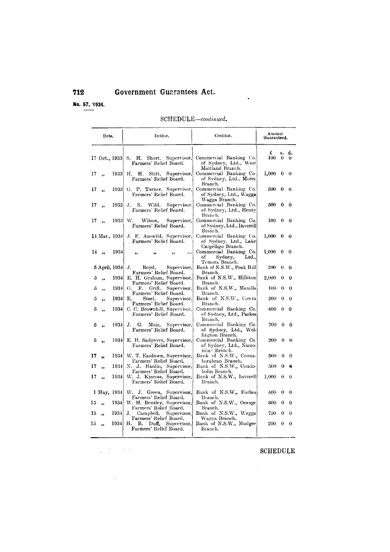No. 57, 1934.

#### $SCHEDULE$ -continued.

 $\ddot{\phantom{a}}$ 

|        | Date.                |              | Debtor.                                                                               | Creditor.                                                             | Amount<br>Guaranteed. |                    |                |
|--------|----------------------|--------------|---------------------------------------------------------------------------------------|-----------------------------------------------------------------------|-----------------------|--------------------|----------------|
|        |                      |              | Short, Supervisor,<br>17 Oct., 1933  S. H.<br>Farmers' Relief Board.                  | Commercial Banking Co.<br>of Sydney, Ltd., West<br>Maitland Branch.   | £<br>100              | s.<br>$\mathbf{0}$ | d.<br>$\theta$ |
| 17     | $\ddot{\phantom{0}}$ | 1933         | Stitt, Supervisor,<br>Н.<br>Н.<br>Farmers' Relief Board.                              | Commercial Banking Co<br>of Sydney, Ltd., Moree<br>Branch.            | 1,000                 | 0                  | 0              |
| 17     | ,,                   | 1933         | G. P. Turner, Supervisor,<br>Farmers' Relief Board.                                   | Commercial Banking Co.<br>of Sydney, Ltd., Wagga<br>Wagga Branch.     | 500                   | $\bf{0}$           | 0              |
| 17     | ,,                   | 1933         | S.<br>Wild.<br>Supervisor,<br>J.<br>Farmers' Relief Board.                            | Commercial Banking Co.<br>of Sydney, Ltd., Henty<br>Branch.           | 500                   | 0                  | 0              |
| 17     |                      | 1933         | W.<br>Wilson,<br>Supervisor,<br>Farmers' Relief Board.                                | Commercial Banking Co.<br>of Sydney, Ltd., Inverell<br>Branch.        | 100                   | $\bf{0}$           | 0              |
|        | 14 Mar., 1934        |              | J. F. Auswild, Supervisor,<br>Farmers' Relief Board.                                  | Commercial Banking Co.<br>of Sydney, Ltd., Lake<br>Cargelligo Branch. | 1,000                 | $\bf{0}$           | 0              |
|        | 14,                  | 1934         | $\ddotsc$<br>.,<br>                                                                   | Commercial Banking Co.<br>оf<br>Sydney,<br>Ltd.,<br>Temora Branch.    | 1.000                 | $\bf{0}$           | $\bf{0}$       |
|        | 5 April, 1934        |              | Boyd,<br>J.<br>Supervisor,<br>Farmers' Relief Board.                                  | Bank of N.S.W., Peak Hill<br>Branch.                                  | 200                   | 0                  | 0              |
| 5      | ,,                   | 1934         | E. H. Graham, Supervisor,<br>Farmers' Relief Board.                                   | Bank of N.S.W., Hillston<br>Branch.                                   | 2,000                 | $\bf{0}$           | 0              |
| 5      | ٠,                   | 1934         | G.<br>F.<br>Grill,<br>Supervisor,<br>Farmers' Relief Board.                           | Bank of N.S.W., Manilla<br>Branch.                                    | 100                   | 0<br>0             | 0              |
| 5<br>5 | ,,                   | 1934<br>1934 | Steel,<br>Е.<br>Supervisor,<br>Farmers' Relief Board.<br>C. C. Brownhill, Supervisor, | Bank of N.S.W., Cowra<br>Branch.<br>Commercial Banking Co.            | 200<br>400            | $\mathbf 0$        | 0<br>0         |
|        | ,,                   |              | Farmers' Relief Board.                                                                | of Sydney, Ltd., Parkes<br>Branch.                                    |                       |                    |                |
| 5      |                      | 1934         | G.<br>Muir, Supervisor,<br>J.<br>Farmers' Relief Board.                               | Commercial Banking Co.<br>of Sydney, Ltd., Wel-<br>lington Branch.    | 700                   | 0                  | 0              |
| 5      | ,,                   | 1934         | E. H. Sadgrove, Supervisor,<br>Farmers' Relief Board.                                 | Commercial Banking Co.<br>of Sydney, Ltd., Narro-<br>min≅ Branch.     | 200                   | $\bf{0}$           | 0              |
| 17     |                      | 1934)        | W. T. Easdown, Supervisor,<br>Farmers' Relief Board.                                  | Bank of N.S.W., Coona-<br>barabran Branch.                            | 500                   | $\theta$           | $\Omega$       |
| 17     | ٠.                   | 1934         | N. J. Hanlin, Supervisor,<br>Farmers' Relief Board.                                   | Bank of N.S.W., Condo-<br>bolin Branch.                               | 500                   | 0                  | Θ              |
| 17     | ,,                   | 1934         | W. J. Kinross, Supervisor,<br>Farmers' Relief Board.                                  | Bank of N.S.W., Inverell<br>Branch.                                   | 1,000                 | $\bf{0}$           | $\bf{0}$       |
|        | 1 May, 1934          |              | W. J. Green, Supervisor,<br>Farmers' Relief Board.                                    | Bank of N.S.W., Forbes<br>Branch.                                     | 400                   | $\bf{0}$           | 0              |
| 15     | ,,                   | 1934         | W. H. Bentley, Supervisor,<br>Farmers' Relief Board.                                  | Bank of N.S.W., Orange<br>Branch,                                     | 600                   | 0                  | 0              |
| 15     | ٠,                   | 1934         | J.<br>Campbell,<br>Supervisor.<br>Farmers' Relief Board.                              | Bank of N.S.W., Wagga<br>Wagga Branch.                                | 750                   | $\bf{0}$           | 0              |
| 15     | ,,                   | 1934         | Н.<br>В.<br>$Duff$ ,<br>Supervisor,<br>Farmers' Relief Board.                         | Bank of N.S.W., Mudgee<br>Branch.                                     | 200                   | $\bf{0}$           | 0              |

 $\label{eq:2.1} \frac{d\mathbf{y}}{d\mathbf{x}}=\frac{d\mathbf{y}}{d\mathbf{x}}\left(\mathbf{x}^{(1)}\right)^{T}=\frac{d\mathbf{x}}{d\mathbf{x}}\left(\mathbf{x}^{(2)}\right)^{T}$ 

 $\mathcal{A}$ 

# ${\bf SCHEDULE}$

 $\sim 10^{-10}$